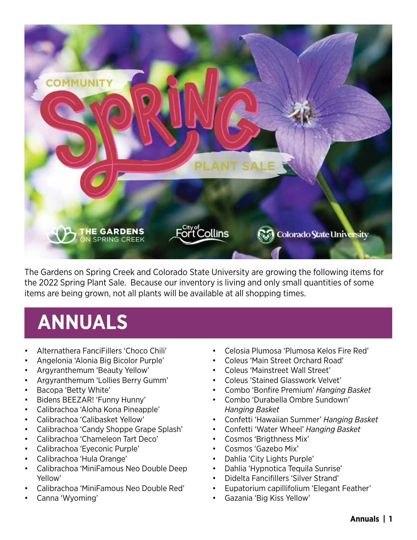

The Gardens on Spring Creek and Colorado State University are growing the following items for the 2022 Spring Plant Sale. Because our inventory is living and only small quantities of some items are being grown, not all plants will be available at all shopping times.

## **ANNUALS**

- Alternathera FanciFillers 'Choco Chili'
- Angelonia 'Alonia Big Bicolor Purple'
- Argyranthemum 'Beauty Yellow'
- Argyranthemum 'Lollies Berry Gumm'
- Bacopa 'Betty White'
- Bidens BEEZAR! 'Funny Hunny'
- Calibrachoa 'Aloha Kona Pineapple'
- Calibrachoa 'Calibasket Yellow'
- Calibrachoa 'Candy Shoppe Grape Splash'
- Calibrachoa 'Chameleon Tart Deco'
- Calibrachoa 'Eyeconic Purple'
- Calibrachoa 'Hula Orange'
- Calibrachoa 'MiniFamous Neo Double Deep Yellow'
- Calibrachoa 'MiniFamous Neo Double Red'
- Canna 'Wyoming'
- Celosia Plumosa 'Plumosa Kelos Fire Red'
- Coleus 'Main Street Orchard Road'
- Coleus 'Mainstreet Wall Street'
- Coleus 'Stained Glasswork Velvet'
- Combo 'Bonfire Premium' *Hanging Basket*
- Combo 'Durabella Ombre Sundown' *Hanging Basket*
- Confetti 'Hawaiian Summer' *Hanging Basket*
- Confetti 'Water Wheel' *Hanging Basket*
- Cosmos 'Brigthness Mix'
- Cosmos 'Gazebo Mix'
- Dahlia 'City Lights Purple'
- Dahlia 'Hypnotica Tequila Sunrise'
- Didelta Fancifillers 'Silver Strand'
- Eupatorium capillifolium 'Elegant Feather'
- Gazania 'Big Kiss Yellow'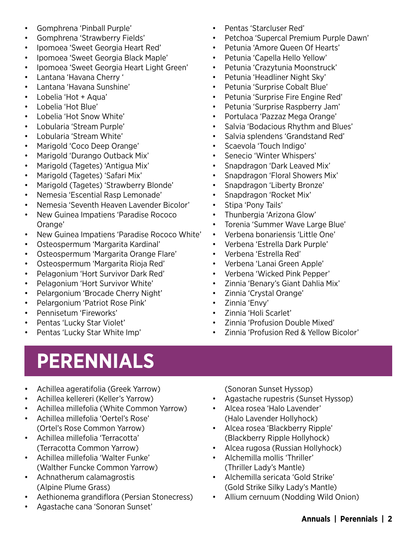- Gomphrena 'Pinball Purple'
- Gomphrena 'Strawberry Fields'
- Ipomoea 'Sweet Georgia Heart Red'
- Ipomoea 'Sweet Georgia Black Maple'
- Ipomoea 'Sweet Georgia Heart Light Green'
- Lantana 'Havana Cherry '
- Lantana 'Havana Sunshine'
- Lobelia 'Hot + Aqua'
- Lobelia 'Hot Blue'
- Lobelia 'Hot Snow White'
- Lobularia 'Stream Purple'
- Lobularia 'Stream White'
- Marigold 'Coco Deep Orange'
- Marigold 'Durango Outback Mix'
- Marigold (Tagetes) 'Antigua Mix'
- Marigold (Tagetes) 'Safari Mix'
- Marigold (Tagetes) 'Strawberry Blonde'
- Nemesia 'Escential Rasp Lemonade'
- Nemesia 'Seventh Heaven Lavender Bicolor'
- New Guinea Impatiens 'Paradise Rococo Orange'
- New Guinea Impatiens 'Paradise Rococo White'
- Osteospermum 'Margarita Kardinal'
- Osteospermum 'Margarita Orange Flare'
- Osteospermum 'Margarita Rioja Red'
- Pelagonium 'Hort Survivor Dark Red'
- Pelagonium 'Hort Survivor White'
- Pelargonium 'Brocade Cherry Night'
- Pelargonium 'Patriot Rose Pink'
- Pennisetum 'Fireworks'
- Pentas 'Lucky Star Violet'
- Pentas 'Lucky Star White Imp'

# **PERENNIALS**

- Achillea ageratifolia (Greek Yarrow)
- Achillea kellereri (Keller's Yarrow)
- Achillea millefolia (White Common Yarrow)
- Achillea millefolia 'Oertel's Rose' (Ortel's Rose Common Yarrow)
- Achillea millefolia 'Terracotta' (Terracotta Common Yarrow)
- Achillea millefolia 'Walter Funke' (Walther Funcke Common Yarrow)
- Achnatherum calamagrostis (Alpine Plume Grass)
- Aethionema grandiflora (Persian Stonecress)
- Agastache cana 'Sonoran Sunset'
- Pentas 'Starcluser Red'
- Petchoa 'Supercal Premium Purple Dawn'
- Petunia 'Amore Queen Of Hearts'
- Petunia 'Capella Hello Yellow'
- Petunia 'Crazytunia Moonstruck'
- Petunia 'Headliner Night Sky'
- Petunia 'Surprise Cobalt Blue'
- Petunia 'Surprise Fire Engine Red'
- Petunia 'Surprise Raspberry Jam'
- Portulaca 'Pazzaz Mega Orange'
- Salvia 'Bodacious Rhythm and Blues'
- Salvia splendens 'Grandstand Red'
- Scaevola 'Touch Indigo'
- Senecio 'Winter Whispers'
- Snapdragon 'Dark Leaved Mix'
- Snapdragon 'Floral Showers Mix'
- Snapdragon 'Liberty Bronze'
- Snapdragon 'Rocket Mix'
- Stipa 'Pony Tails'
- Thunbergia 'Arizona Glow'
- Torenia 'Summer Wave Large Blue'
- Verbena bonariensis 'Little One'
- Verbena 'Estrella Dark Purple'
- Verbena 'Estrella Red'
- Verbena 'Lanai Green Apple'
- Verbena 'Wicked Pink Pepper'
- Zinnia 'Benary's Giant Dahlia Mix'
- Zinnia 'Crystal Orange'
- Zinnia 'Envy'
- Zinnia 'Holi Scarlet'
- Zinnia 'Profusion Double Mixed'
- Zinnia 'Profusion Red & Yellow Bicolor'
	- (Sonoran Sunset Hyssop)
- Agastache rupestris (Sunset Hyssop)
- Alcea rosea 'Halo Lavender' (Halo Lavender Hollyhock)
- Alcea rosea 'Blackberry Ripple' (Blackberry Ripple Hollyhock)
- Alcea rugosa (Russian Hollyhock)
- Alchemilla mollis 'Thriller' (Thriller Lady's Mantle)
- Alchemilla sericata 'Gold Strike' (Gold Strike Silky Lady's Mantle)
- Allium cernuum (Nodding Wild Onion)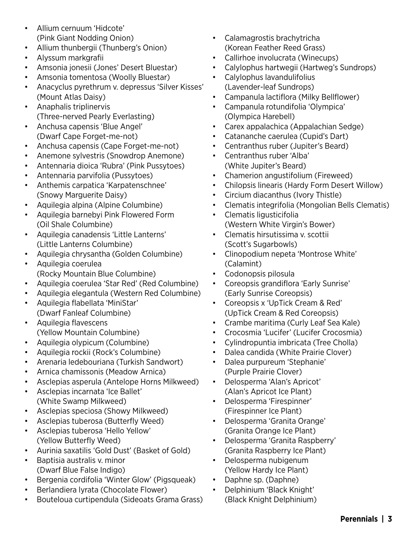- Allium cernuum 'Hidcote' (Pink Giant Nodding Onion)
- Allium thunbergii (Thunberg's Onion)
- Alyssum markgrafii
- Amsonia jonesii (Jones' Desert Bluestar)
- Amsonia tomentosa (Woolly Bluestar)
- Anacyclus pyrethrum v. depressus 'Silver Kisses' (Mount Atlas Daisy)
- Anaphalis triplinervis (Three-nerved Pearly Everlasting)
- Anchusa capensis 'Blue Angel' (Dwarf Cape Forget-me-not)
- Anchusa capensis (Cape Forget-me-not)
- Anemone sylvestris (Snowdrop Anemone)
- Antennaria dioica 'Rubra' (Pink Pussytoes)
- Antennaria parvifolia (Pussytoes)
- Anthemis carpatica 'Karpatenschnee' (Snowy Marguerite Daisy)
- Aquilegia alpina (Alpine Columbine)
- Aquilegia barnebyi Pink Flowered Form (Oil Shale Columbine)
- Aquilegia canadensis 'Little Lanterns' (Little Lanterns Columbine)
- Aquilegia chrysantha (Golden Columbine)
- Aquilegia coerulea (Rocky Mountain Blue Columbine)
- Aquilegia coerulea 'Star Red' (Red Columbine)
- Aquilegia elegantula (Western Red Columbine)
- Aquilegia flabellata 'MiniStar' (Dwarf Fanleaf Columbine)
- Aquilegia flavescens (Yellow Mountain Columbine)
- Aquilegia olypicum (Columbine)
- Aquilegia rockii (Rock's Columbine)
- Arenaria ledebouriana (Turkish Sandwort)
- Arnica chamissonis (Meadow Arnica)
- Asclepias asperula (Antelope Horns Milkweed)
- Asclepias incarnata 'Ice Ballet' (White Swamp Milkweed)
- Asclepias speciosa (Showy Milkweed)
- Asclepias tuberosa (Butterfly Weed)
- Asclepias tuberosa 'Hello Yellow' (Yellow Butterfly Weed)
- Aurinia saxatilis 'Gold Dust' (Basket of Gold)
- Baptisia australis v. minor (Dwarf Blue False Indigo)
- Bergenia cordifolia 'Winter Glow' (Pigsqueak)
- Berlandiera lyrata (Chocolate Flower)
- Bouteloua curtipendula (Sideoats Grama Grass)
- Calamagrostis brachytricha (Korean Feather Reed Grass)
- Callirhoe involucrata (Winecups)
- Calylophus hartwegii (Hartweg's Sundrops)
- Calylophus lavandulifolius (Lavender-leaf Sundrops)
- Campanula lactiflora (Milky Bellflower)
- Campanula rotundifolia 'Olympica' (Olympica Harebell)
- Carex appalachica (Appalachian Sedge)
- Catananche caerulea (Cupid's Dart)
- Centranthus ruber (Jupiter's Beard)
- Centranthus ruber 'Alba' (White Jupiter's Beard)
- Chamerion angustifolium (Fireweed)
- Chilopsis linearis (Hardy Form Desert Willow)
- Circium diacanthus (Ivory Thistle)
- Clematis integrifolia (Mongolian Bells Clematis)
- Clematis ligusticifolia (Western White Virgin's Bower)
- Clematis hirsutissima v. scottii (Scott's Sugarbowls)
- Clinopodium nepeta 'Montrose White' (Calamint)
- Codonopsis pilosula
- Coreopsis grandiflora 'Early Sunrise' (Early Sunrise Coreopsis)
- Coreopsis x 'UpTick Cream & Red' (UpTick Cream & Red Coreopsis)
- Crambe maritima (Curly Leaf Sea Kale)
- Crocosmia 'Lucifer' (Lucifer Crocosmia)
- Cylindropuntia imbricata (Tree Cholla)
- Dalea candida (White Prairie Clover)
- Dalea purpureum 'Stephanie' (Purple Prairie Clover)
- Delosperma 'Alan's Apricot' (Alan's Apricot Ice Plant)
- Delosperma 'Firespinner' (Firespinner Ice Plant)
- Delosperma 'Granita Orange' (Granita Orange Ice Plant)
- Delosperma 'Granita Raspberry' (Granita Raspberry Ice Plant)
- Delosperma nubigenum (Yellow Hardy Ice Plant)
- Daphne sp. (Daphne)
- Delphinium 'Black Knight' (Black Knight Delphinium)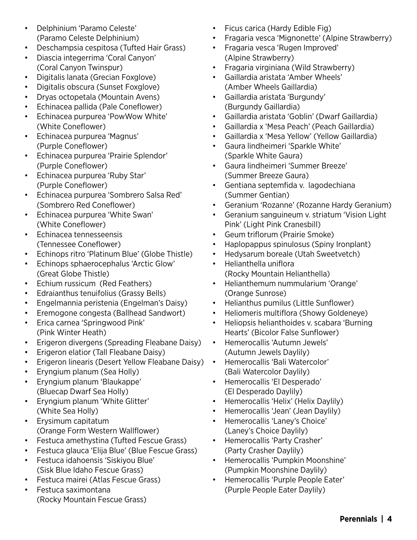- Delphinium 'Paramo Celeste' (Paramo Celeste Delphinium)
- Deschampsia cespitosa (Tufted Hair Grass)
- Diascia integerrima 'Coral Canyon' (Coral Canyon Twinspur)
- Digitalis lanata (Grecian Foxglove)
- Digitalis obscura (Sunset Foxglove)
- Dryas octopetala (Mountain Avens)
- Echinacea pallida (Pale Coneflower)
- Echinacea purpurea 'PowWow White' (White Coneflower)
- Echinacea purpurea 'Magnus' (Purple Coneflower)
- Echinacea purpurea 'Prairie Splendor' (Purple Coneflower)
- Echinacea purpurea 'Ruby Star' (Purple Coneflower)
- Echinacea purpurea 'Sombrero Salsa Red' (Sombrero Red Coneflower)
- Echinacea purpurea 'White Swan' (White Coneflower)
- Echinacea tennesseensis (Tennessee Coneflower)
- Echinops ritro 'Platinum Blue' (Globe Thistle)
- Echinops sphaerocephalus 'Arctic Glow' (Great Globe Thistle)
- Echium russicum (Red Feathers)
- Edraianthus tenuifolius (Grassy Bells)
- Engelmannia peristenia (Engelman's Daisy)
- Eremogone congesta (Ballhead Sandwort)
- Erica carnea 'Springwood Pink' (Pink Winter Heath)
- Erigeron divergens (Spreading Fleabane Daisy)
- Erigeron elatior (Tall Fleabane Daisy)
- Erigeron linearis (Desert Yellow Fleabane Daisy)
- Eryngium planum (Sea Holly)
- Eryngium planum 'Blaukappe' (Bluecap Dwarf Sea Holly)
- Eryngium planum 'White Glitter' (White Sea Holly)
- Erysimum capitatum (Orange Form Western Wallflower)
- Festuca amethystina (Tufted Fescue Grass)
- Festuca glauca 'Elija Blue' (Blue Fescue Grass)
- Festuca idahoensis 'Siskiyou Blue' (Sisk Blue Idaho Fescue Grass)
- Festuca mairei (Atlas Fescue Grass)
- Festuca saximontana (Rocky Mountain Fescue Grass)
- Ficus carica (Hardy Edible Fig)
- Fragaria vesca 'Mignonette' (Alpine Strawberry)
- Fragaria vesca 'Rugen Improved' (Alpine Strawberry)
- Fragaria virginiana (Wild Strawberry)
- Gaillardia aristata 'Amber Wheels' (Amber Wheels Gaillardia)
- Gaillardia aristata 'Burgundy' (Burgundy Gaillardia)
- Gaillardia aristata 'Goblin' (Dwarf Gaillardia)
- Gaillardia x 'Mesa Peach' (Peach Gaillardia)
- Gaillardia x 'Mesa Yellow' (Yellow Gaillardia)
- Gaura lindheimeri 'Sparkle White' (Sparkle White Gaura)
- Gaura lindheimeri 'Summer Breeze' (Summer Breeze Gaura)
- Gentiana septemfida v. lagodechiana (Summer Gentian)
- Geranium 'Rozanne' (Rozanne Hardy Geranium)
- Geranium sanguineum v. striatum 'Vision Light Pink' (Light Pink Cranesbill)
- Geum triflorum (Prairie Smoke)
- Haplopappus spinulosus (Spiny Ironplant)
- Hedysarum boreale (Utah Sweetvetch)
- Helianthella uniflora (Rocky Mountain Helianthella)
- Helianthemum nummularium 'Orange' (Orange Sunrose)
- Helianthus pumilus (Little Sunflower)
- Heliomeris multiflora (Showy Goldeneye)
- Heliopsis helianthoides v. scabara 'Burning Hearts' (Bicolor False Sunflower)
- Hemerocallis 'Autumn Jewels' (Autumn Jewels Daylily)
- Hemerocallis 'Bali Watercolor' (Bali Watercolor Daylily)
- Hemerocallis 'El Desperado' (El Desperado Daylily)
- Hemerocallis 'Helix' (Helix Daylily)
- Hemerocallis 'Jean' (Jean Daylily)
- Hemerocallis 'Laney's Choice' (Laney's Choice Daylily)
- Hemerocallis 'Party Crasher' (Party Crasher Daylily)
- Hemerocallis 'Pumpkin Moonshine' (Pumpkin Moonshine Daylily)
- Hemerocallis 'Purple People Eater' (Purple People Eater Daylily)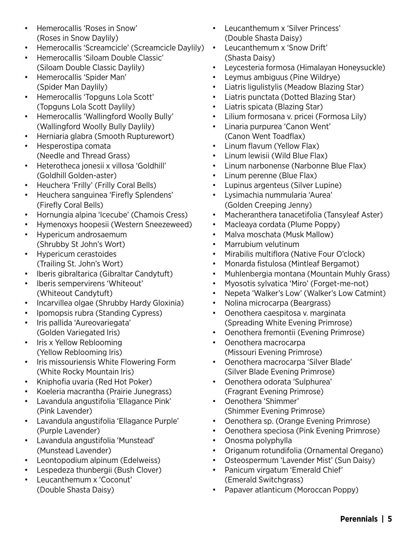- Hemerocallis 'Roses in Snow' (Roses in Snow Daylily)
- Hemerocallis 'Screamcicle' (Screamcicle Daylily)
- Hemerocallis 'Siloam Double Classic' (Siloam Double Classic Daylily)
- Hemerocallis 'Spider Man' (Spider Man Daylily)
- Hemerocallis 'Topguns Lola Scott' (Topguns Lola Scott Daylily)
- Hemerocallis 'Wallingford Woolly Bully' (Wallingford Woolly Bully Daylily)
- Herniaria glabra (Smooth Rupturewort)
- Hesperostipa comata (Needle and Thread Grass)
- Heterotheca jonesii x villosa 'Goldhill' (Goldhill Golden-aster)
- Heuchera 'Frilly' (Frilly Coral Bells)
- Heuchera sanguinea 'Firefly Splendens' (Firefly Coral Bells)
- Hornungia alpina 'Icecube' (Chamois Cress)
- Hymenoxys hoopesii (Western Sneezeweed)
- Hypericum androsaemum (Shrubby St John's Wort)
- Hypericum cerastoides (Trailing St. John's Wort)
- Iberis gibraltarica (Gibraltar Candytuft)
- Iberis sempervirens 'Whiteout' (Whiteout Candytuft)
- Incarvillea olgae (Shrubby Hardy Gloxinia)
- Ipomopsis rubra (Standing Cypress)
- Iris pallida 'Aureovariegata' (Golden Variegated Iris)
- Iris x Yellow Reblooming (Yellow Reblooming Iris)
- Iris missouriensis White Flowering Form (White Rocky Mountain Iris)
- Kniphofia uvaria (Red Hot Poker)
- Koeleria macrantha (Prairie Junegrass)
- Lavandula angustifolia 'Ellagance Pink' (Pink Lavender)
- Lavandula angustifolia 'Ellagance Purple' (Purple Lavender)
- Lavandula angustifolia 'Munstead' (Munstead Lavender)
- Leontopodium alpinum (Edelweiss)
- Lespedeza thunbergii (Bush Clover)
- Leucanthemum x 'Coconut' (Double Shasta Daisy)
- Leucanthemum x 'Silver Princess' (Double Shasta Daisy)
- Leucanthemum x 'Snow Drift' (Shasta Daisy)
- Leycesteria formosa (Himalayan Honeysuckle)
- Leymus ambiguus (Pine Wildrye)
- Liatris ligulistylis (Meadow Blazing Star)
- Liatris punctata (Dotted Blazing Star)
- Liatris spicata (Blazing Star)
- Lilium formosana v. pricei (Formosa Lily)
- Linaria purpurea 'Canon Went' (Canon Went Toadflax)
- Linum flavum (Yellow Flax)
- Linum lewisii (Wild Blue Flax)
- Linum narbonense (Narbonne Blue Flax)
- Linum perenne (Blue Flax)
- Lupinus argenteus (Silver Lupine)
- Lysimachia nummularia 'Aurea' (Golden Creeping Jenny)
- Macheranthera tanacetifolia (Tansyleaf Aster)
- Macleaya cordata (Plume Poppy)
- Malva moschata (Musk Mallow)
- Marrubium velutinum
- Mirabilis multiflora (Native Four O'clock)
- Monarda fistulosa (Mintleaf Bergamot)
- Muhlenbergia montana (Mountain Muhly Grass)
- Myosotis sylvatica 'Miro' (Forget-me-not)
- Nepeta 'Walker's Low' (Walker's Low Catmint)
- Nolina microcarpa (Beargrass)
- Oenothera caespitosa v. marginata (Spreading White Evening Primrose)
- Oenothera fremontii (Evening Primrose)
- Oenothera macrocarpa (Missouri Evening Primrose)
- Oenothera macrocarpa 'Silver Blade' (Silver Blade Evening Primrose)
- Oenothera odorata 'Sulphurea' (Fragrant Evening Primrose)
- Oenothera 'Shimmer' (Shimmer Evening Primrose)
- Oenothera sp. (Orange Evening Primrose)
- Oenothera speciosa (Pink Evening Primrose)
- Onosma polyphylla
- Origanum rotundifolia (Ornamental Oregano)
- Osteospermum 'Lavender Mist' (Sun Daisy)
- Panicum virgatum 'Emerald Chief' (Emerald Switchgrass)
- Papaver atlanticum (Moroccan Poppy)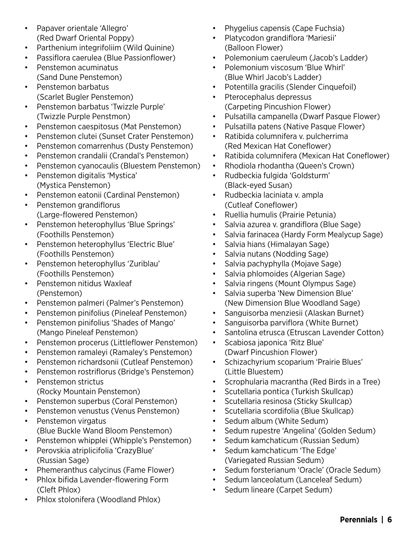- Papaver orientale 'Allegro' (Red Dwarf Oriental Poppy)
- Parthenium integrifoliim (Wild Quinine)
- Passiflora caerulea (Blue Passionflower)
- Penstemon acuminatus (Sand Dune Penstemon)
- Penstemon barbatus (Scarlet Bugler Penstemon)
- Penstemon barbatus 'Twizzle Purple' (Twizzle Purple Penstmon)
- Penstemon caespitosus (Mat Penstemon)
- Penstemon clutei (Sunset Crater Penstemon)
- Penstemon comarrenhus (Dusty Penstemon)
- Penstemon crandalii (Crandal's Penstemon)
- Penstemon cyanocaulis (Bluestem Penstemon)
- Penstemon digitalis 'Mystica' (Mystica Penstemon)
- Penstemon eatonii (Cardinal Penstemon)
- Penstemon grandiflorus (Large-flowered Penstemon)
- Penstemon heterophyllus 'Blue Springs' (Foothills Penstemon)
- Penstemon heterophyllus 'Electric Blue' (Foothills Penstemon)
- Penstemon heterophyllus 'Zuriblau' (Foothills Penstemon)
- Penstemon nitidus Waxleaf (Penstemon)
- Penstemon palmeri (Palmer's Penstemon)
- Penstemon pinifolius (Pineleaf Penstemon)
- Penstemon pinifolius 'Shades of Mango' (Mango Pineleaf Penstemon)
- Penstemon procerus (Littleflower Penstemon)
- Penstemon ramaleyi (Ramaley's Penstemon)
- Penstemon richardsonii (Cutleaf Penstemon)
- Penstemon rostriflorus (Bridge's Penstemon)
- Penstemon strictus (Rocky Mountain Penstemon)
- Penstemon superbus (Coral Penstemon)
- Penstemon venustus (Venus Penstemon)
- Penstemon virgatus (Blue Buckle Wand Bloom Penstemon)
- Penstemon whipplei (Whipple's Penstemon)
- Perovskia atriplicifolia 'CrazyBlue' (Russian Sage)
- Phemeranthus calycinus (Fame Flower)
- Phlox bifida Lavender-flowering Form (Cleft Phlox)
- Phlox stolonifera (Woodland Phlox)
- Phygelius capensis (Cape Fuchsia)
- Platycodon grandiflora 'Mariesii' (Balloon Flower)
- Polemonium caeruleum (Jacob's Ladder)
- Polemonium viscosum 'Blue Whirl' (Blue Whirl Jacob's Ladder)
- Potentilla gracilis (Slender Cinquefoil)
- Pterocephalus depressus (Carpeting Pincushion Flower)
- Pulsatilla campanella (Dwarf Pasque Flower)
- Pulsatilla patens (Native Pasque Flower)
- Ratibida columnifera v. pulcherrima (Red Mexican Hat Coneflower)
- Ratibida columnifera (Mexican Hat Coneflower)
- Rhodiola rhodantha (Queen's Crown)
- Rudbeckia fulgida 'Goldsturm' (Black-eyed Susan)
- Rudbeckia laciniata v. ampla (Cutleaf Coneflower)
- Ruellia humulis (Prairie Petunia)
- Salvia azurea v. grandiflora (Blue Sage)
- Salvia farinacea (Hardy Form Mealycup Sage)
- Salvia hians (Himalayan Sage)
- Salvia nutans (Nodding Sage)
- Salvia pachyphylla (Mojave Sage)
- Salvia phlomoides (Algerian Sage)
- Salvia ringens (Mount Olympus Sage)
- Salvia superba 'New Dimension Blue' (New Dimension Blue Woodland Sage)
- Sanguisorba menziesii (Alaskan Burnet)
- Sanguisorba parviflora (White Burnet)
- Santolina etrusca (Etruscan Lavender Cotton)
- Scabiosa japonica 'Ritz Blue' (Dwarf Pincushion Flower)
- Schizachyrium scoparium 'Prairie Blues' (Little Bluestem)
- Scrophularia macrantha (Red Birds in a Tree)
- Scutellaria pontica (Turkish Skullcap)
- Scutellaria resinosa (Sticky Skullcap)
- Scutellaria scordifolia (Blue Skullcap)
- Sedum album (White Sedum)
- Sedum rupestre 'Angelina' (Golden Sedum)
- Sedum kamchaticum (Russian Sedum)
- Sedum kamchaticum 'The Edge' (Variegated Russian Sedum)
- Sedum forsterianum 'Oracle' (Oracle Sedum)
- Sedum lanceolatum (Lanceleaf Sedum)
- Sedum lineare (Carpet Sedum)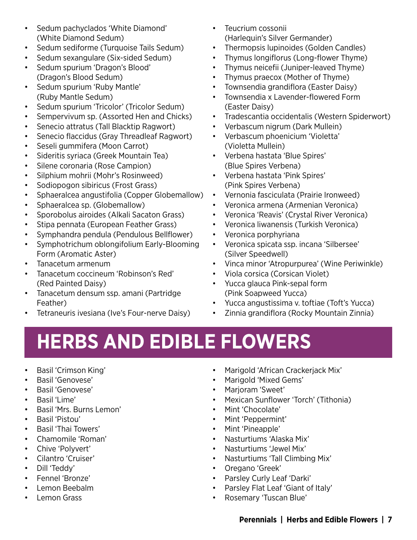- Sedum pachyclados 'White Diamond' (White Diamond Sedum)
- Sedum sediforme (Turquoise Tails Sedum)
- Sedum sexangulare (Six-sided Sedum)
- Sedum spurium 'Dragon's Blood' (Dragon's Blood Sedum)
- Sedum spurium 'Ruby Mantle' (Ruby Mantle Sedum)
- Sedum spurium 'Tricolor' (Tricolor Sedum)
- Sempervivum sp. (Assorted Hen and Chicks)
- Senecio attratus (Tall Blacktip Ragwort)
- Senecio flaccidus (Gray Threadleaf Ragwort)
- Seseli gummifera (Moon Carrot)
- Sideritis syriaca (Greek Mountain Tea)
- Silene coronaria (Rose Campion)
- Silphium mohrii (Mohr's Rosinweed)
- Sodiopogon sibiricus (Frost Grass)
- Sphaeralcea angustifolia (Copper Globemallow)
- Sphaeralcea sp. (Globemallow)
- Sporobolus airoides (Alkali Sacaton Grass)
- Stipa pennata (European Feather Grass)
- Symphandra pendula (Pendulous Bellflower)
- Symphotrichum oblongifolium Early-Blooming Form (Aromatic Aster)
- Tanacetum armenum
- Tanacetum coccineum 'Robinson's Red' (Red Painted Daisy)
- Tanacetum densum ssp. amani (Partridge Feather)
- Tetraneuris ivesiana (Ive's Four-nerve Daisy)
- Teucrium cossonii (Harlequin's Silver Germander)
- Thermopsis lupinoides (Golden Candles)
- Thymus longiflorus (Long-flower Thyme)
- Thymus neicefii (Juniper-leaved Thyme)
- Thymus praecox (Mother of Thyme)
- Townsendia grandiflora (Easter Daisy)
- Townsendia x Lavender-flowered Form (Easter Daisy)
- Tradescantia occidentalis (Western Spiderwort)
- Verbascum nigrum (Dark Mullein)
- Verbascum phoenicium 'Violetta' (Violetta Mullein)
- Verbena hastata 'Blue Spires' (Blue Spires Verbena)
- Verbena hastata 'Pink Spires' (Pink Spires Verbena)
- Vernonia fasciculata (Prairie Ironweed)
- Veronica armena (Armenian Veronica)
- Veronica 'Reavis' (Crystal River Veronica)
- Veronica liwanensis (Turkish Veronica)
- Veronica porphyriana
- Veronica spicata ssp. incana 'Silbersee' (Silver Speedwell)
- Vinca minor 'Atropurpurea' (Wine Periwinkle)
- Viola corsica (Corsican Violet)
- Yucca glauca Pink-sepal form (Pink Soapweed Yucca)
- Yucca angustissima v. toftiae (Toft's Yucca)
- Zinnia grandiflora (Rocky Mountain Zinnia)

### **HERBS AND EDIBLE FLOWERS**

- Basil 'Crimson King'
- Basil 'Genovese'
- Basil 'Genovese'
- Basil 'Lime'
- Basil 'Mrs. Burns Lemon'
- Basil 'Pistou'
- Basil 'Thai Towers'
- Chamomile 'Roman'
- Chive 'Polyvert'
- Cilantro 'Cruiser'
- Dill 'Teddy'
- Fennel 'Bronze'
- Lemon Beebalm
- Lemon Grass
- Marigold 'African Crackerjack Mix'
- Marigold 'Mixed Gems'
- Marjoram 'Sweet'
- Mexican Sunflower 'Torch' (Tithonia)
- Mint 'Chocolate'
- Mint 'Peppermint'
- Mint 'Pineapple'
- Nasturtiums 'Alaska Mix'
- Nasturtiums 'Jewel Mix'
- Nasturtiums 'Tall Climbing Mix'
- Oregano 'Greek'
- Parsley Curly Leaf 'Darki'
- Parsley Flat Leaf 'Giant of Italy'
- Rosemary 'Tuscan Blue'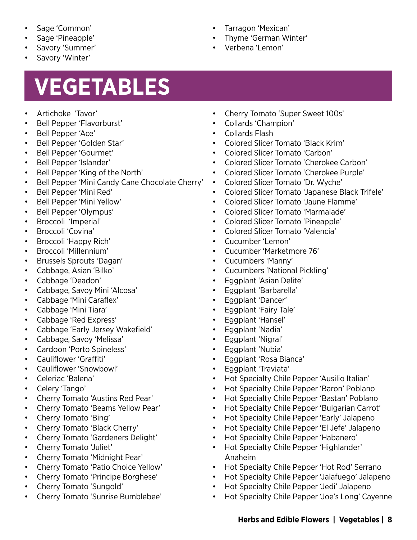- Sage 'Common'
- Sage 'Pineapple'
- Savory 'Summer'
- Savory 'Winter'

# **VEGETABLES**

- Artichoke 'Tavor'
- Bell Pepper 'Flavorburst'
- Bell Pepper 'Ace'
- Bell Pepper 'Golden Star'
- Bell Pepper 'Gourmet'
- Bell Pepper 'Islander'
- Bell Pepper 'King of the North'
- Bell Pepper 'Mini Candy Cane Chocolate Cherry'
- Bell Pepper 'Mini Red'
- Bell Pepper 'Mini Yellow'
- Bell Pepper 'Olympus'
- Broccoli 'Imperial'
- Broccoli 'Covina'
- Broccoli 'Happy Rich'
- Broccoli 'Millennium'
- Brussels Sprouts 'Dagan'
- Cabbage, Asian 'Bilko'
- Cabbage 'Deadon'
- Cabbage, Savoy Mini 'Alcosa'
- Cabbage 'Mini Caraflex'
- Cabbage 'Mini Tiara'
- Cabbage 'Red Express'
- Cabbage 'Early Jersey Wakefield'
- Cabbage, Savoy 'Melissa'
- Cardoon 'Porto Spineless'
- Cauliflower 'Graffiti'
- Cauliflower 'Snowbowl'
- Celeriac 'Balena'
- Celery 'Tango'
- Cherry Tomato 'Austins Red Pear'
- Cherry Tomato 'Beams Yellow Pear'
- Cherry Tomato 'Bing'
- Cherry Tomato 'Black Cherry'
- Cherry Tomato 'Gardeners Delight'
- Cherry Tomato 'Juliet'
- Cherry Tomato 'Midnight Pear'
- Cherry Tomato 'Patio Choice Yellow'
- Cherry Tomato 'Principe Borghese'
- Cherry Tomato 'Sungold'
- Cherry Tomato 'Sunrise Bumblebee'
- Tarragon 'Mexican'
- Thyme 'German Winter'
- Verbena 'Lemon'

- Cherry Tomato 'Super Sweet 100s'
- Collards 'Champion'
- Collards Flash
- Colored Slicer Tomato 'Black Krim'
- Colored Slicer Tomato 'Carbon'
- Colored Slicer Tomato 'Cherokee Carbon'
- Colored Slicer Tomato 'Cherokee Purple'
- Colored Slicer Tomato 'Dr. Wyche'
- Colored Slicer Tomato 'Japanese Black Trifele'
- Colored Slicer Tomato 'Jaune Flamme'
- Colored Slicer Tomato 'Marmalade'
- Colored Slicer Tomato 'Pineapple'
- Colored Slicer Tomato 'Valencia'
- Cucumber 'Lemon'
- Cucumber 'Marketmore 76'
- Cucumbers 'Manny'
- Cucumbers 'National Pickling'
- Eggplant 'Asian Delite'
- Eggplant 'Barbarella'
- Eggplant 'Dancer'
- Eggplant 'Fairy Tale'
- Eggplant 'Hansel'
- Eggplant 'Nadia'
- Eggplant 'Nigral'
- Eggplant 'Nubia'
- Eggplant 'Rosa Bianca'
- Eggplant 'Traviata'
- Hot Specialty Chile Pepper 'Ausilio Italian'
- Hot Specialty Chile Pepper 'Baron' Poblano
- Hot Specialty Chile Pepper 'Bastan' Poblano
- Hot Specialty Chile Pepper 'Bulgarian Carrot'
- Hot Specialty Chile Pepper 'Early' Jalapeno
- Hot Specialty Chile Pepper 'El Jefe' Jalapeno
- Hot Specialty Chile Pepper 'Habanero'
- Hot Specialty Chile Pepper 'Highlander' Anaheim
- Hot Specialty Chile Pepper 'Hot Rod' Serrano
- Hot Specialty Chile Pepper 'Jalafuego' Jalapeno
- Hot Specialty Chile Pepper 'Jedi' Jalapeno
- Hot Specialty Chile Pepper 'Joe's Long' Cayenne

#### **Herbs and Edible Flowers | Vegetables | 8**